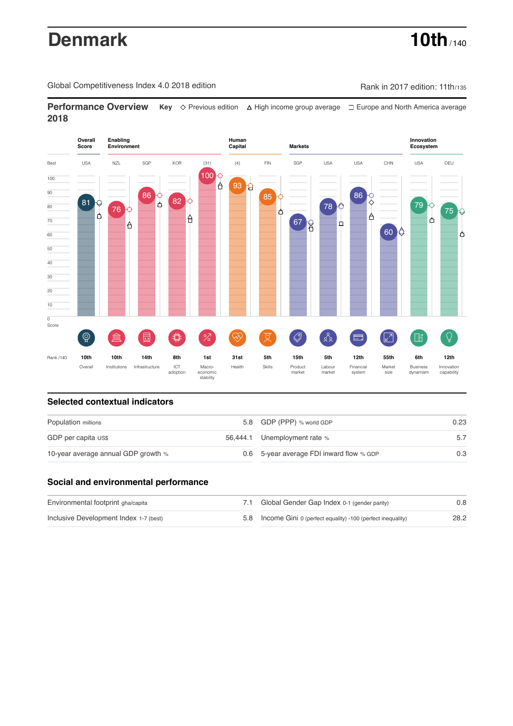# **Denmark 10th** / 140

Global Competitiveness Index 4.0 2018 edition Company Company Rank in 2017 edition: 11th/135

**Performance Overview** Key  $\Diamond$  Previous edition ∆ High income group average  $\Box$  Europe and North America average **2018**



# **Selected contextual indicators**

| Population millions                 |  | 5.8 GDP (PPP) % world GDP                | 0.23 |  |
|-------------------------------------|--|------------------------------------------|------|--|
| GDP per capita US\$                 |  | 56,444.1 Unemployment rate %             |      |  |
| 10-year average annual GDP growth % |  | 0.6 5-year average FDI inward flow % GDP | 0.3  |  |

## **Social and environmental performance**

| Environmental footprint gha/capita     | 7.1 Global Gender Gap Index 0-1 (gender parity)                | 0.8  |
|----------------------------------------|----------------------------------------------------------------|------|
| Inclusive Development Index 1-7 (best) | 5.8 Income Gini 0 (perfect equality) -100 (perfect inequality) | 28.2 |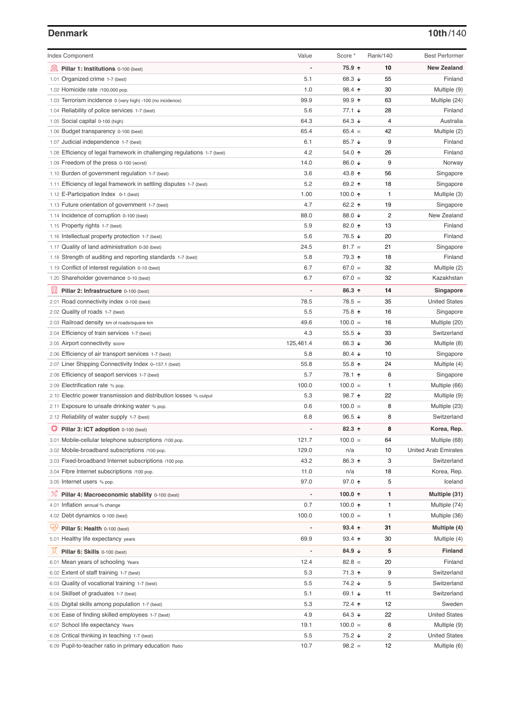### **Denmark 10th**/140

| <b>Index Component</b>                                                   | Value          | Score *                  | Rank/140 | <b>Best Performer</b>       |
|--------------------------------------------------------------------------|----------------|--------------------------|----------|-----------------------------|
| 寙<br>Pillar 1: Institutions 0-100 (best)                                 |                | 75.9 ↑                   | 10       | <b>New Zealand</b>          |
| 1.01 Organized crime 1-7 (best)                                          | 5.1            | 68.3 ↓                   | 55       | Finland                     |
| 1.02 Homicide rate /100,000 pop.                                         | 1.0            | 98.4 ↑                   | 30       | Multiple (9)                |
| 1.03 Terrorism incidence 0 (very high) -100 (no incidence)               | 99.9           | $99.9$ 1                 | 63       | Multiple (24)               |
| 1.04 Reliability of police services 1-7 (best)                           | 5.6            | $77.1 \;$ $\downarrow$   | 28       | Finland                     |
| 1.05 Social capital 0-100 (high)                                         | 64.3           | 64.3 $\sqrt{ }$          | 4        | Australia                   |
| 1.06 Budget transparency 0-100 (best)                                    | 65.4           | $65.4 =$                 | 42       | Multiple (2)                |
| 1.07 Judicial independence 1-7 (best)                                    | 6.1            | 85.7 ↓                   | 9        | Finland                     |
| 1.08 Efficiency of legal framework in challenging regulations 1-7 (best) | 4.2            | 54.0 ↑                   | 26       | Finland                     |
| 1.09 Freedom of the press 0-100 (worst)                                  | 14.0           | 86.0 ↓                   | 9        | Norway                      |
| 1.10 Burden of government regulation 1-7 (best)                          | 3.6            | 43.8 ↑                   | 56       | Singapore                   |
| 1.11 Efficiency of legal framework in settling disputes 1-7 (best)       | 5.2            | 69.2 ↑                   | 18       | Singapore                   |
| 1.12 E-Participation Index 0-1 (best)                                    | 1.00           | 100.0 $\uparrow$         | 1        | Multiple (3)                |
| 1.13 Future orientation of government 1-7 (best)                         | 4.7            | 62.2 $\uparrow$          | 19       | Singapore                   |
| 1.14 Incidence of corruption 0-100 (best)                                | 88.0           | 88.0 ↓                   | 2        | New Zealand                 |
| 1.15 Property rights 1-7 (best)                                          | 5.9            | 82.0 个                   | 13       | Finland                     |
| 1.16 Intellectual property protection 1-7 (best)                         | 5.6            | 76.5 ↓                   | 20       | Finland                     |
| 1.17 Quality of land administration 0-30 (best)                          | 24.5           | $81.7 =$                 | 21       | Singapore                   |
| 1.18 Strength of auditing and reporting standards 1-7 (best)             | 5.8            | 79.3 ↑                   | 18       | Finland                     |
| 1.19 Conflict of interest regulation 0-10 (best)                         | 6.7            | $67.0 =$                 | 32       | Multiple (2)                |
| 1.20 Shareholder governance 0-10 (best)                                  | 6.7            | $67.0 =$                 | 32       | Kazakhstan                  |
| 員<br>Pillar 2: Infrastructure 0-100 (best)                               |                | 86.3 ↑                   | 14       | Singapore                   |
| 2.01 Road connectivity index 0-100 (best)                                | 78.5           | $78.5 =$                 | 35       | <b>United States</b>        |
| 2.02 Quality of roads 1-7 (best)                                         | 5.5            | 75.8 ↑                   | 16       | Singapore                   |
| 2.03 Railroad density km of roads/square km                              | 49.6           | $100.0 =$                | 16       | Multiple (20)               |
| 2.04 Efficiency of train services 1-7 (best)                             | 4.3            | 55.5 $\sqrt{ }$          | 33       | Switzerland                 |
| 2.05 Airport connectivity score                                          | 125,461.4      | 66.3 ↓                   | 36       | Multiple (8)                |
| 2.06 Efficiency of air transport services 1-7 (best)                     | 5.8            | 80.4 $\sqrt{ }$          | 10       | Singapore                   |
| 2.07 Liner Shipping Connectivity Index 0-157.1 (best)                    | 55.8           | 55.8 $\uparrow$          | 24       | Multiple (4)                |
| 2.08 Efficiency of seaport services 1-7 (best)                           | 5.7            | 78.1 ↑                   | 6        | Singapore                   |
| 2.09 Electrification rate % pop.                                         | 100.0          | $100.0 =$                | 1        | Multiple (66)               |
| 2.10 Electric power transmission and distribution losses % output        | 5.3            | 98.7 ↑                   | 22       | Multiple (9)                |
| 2.11 Exposure to unsafe drinking water % pop.                            | 0.6            | $100.0 =$                | 8        | Multiple (23)               |
| 2.12 Reliability of water supply 1-7 (best)                              | 6.8            | 96.5 $\sqrt{ }$          | 8        | Switzerland                 |
| O<br>Pillar 3: ICT adoption 0-100 (best)                                 |                | $82.3$ ^                 | 8        | Korea, Rep.                 |
| 3.01 Mobile-cellular telephone subscriptions /100 pop.                   | 121.7          | $100.0 =$                | 64       | Multiple (68)               |
| 3.02 Mobile-broadband subscriptions /100 pop.                            | 129.0          | n/a                      | 10       | <b>United Arab Emirates</b> |
| 3.03 Fixed-broadband Internet subscriptions /100 pop.                    | 43.2           | 86.3 ↑                   | 3        | Switzerland                 |
| 3.04 Fibre Internet subscriptions /100 pop.                              | 11.0           | n/a                      | 18       | Korea, Rep.                 |
| 3.05 Internet users % pop.                                               | 97.0           | 97.0 $\uparrow$          | 5        | Iceland                     |
| <sup>%</sup> Pillar 4: Macroeconomic stability 0-100 (best)              | $\overline{a}$ | 100.0 $\uparrow$         | 1        | Multiple (31)               |
| 4.01 Inflation annual % change                                           | 0.7            | 100.0 $\uparrow$         | 1        | Multiple (74)               |
| 4.02 Debt dynamics 0-100 (best)                                          | 100.0          | $100.0 =$                | 1        | Multiple (36)               |
| Qÿ<br>Pillar 5: Health 0-100 (best)                                      |                | $93.4 \text{ } \uparrow$ | 31       | Multiple (4)                |
| 5.01 Healthy life expectancy years                                       | 69.9           | $93.4$ 1                 | 30       | Multiple (4)                |
| 섯<br>Pillar 6: Skills 0-100 (best)                                       | $\overline{a}$ | 84.9 $\sqrt{ }$          | 5        | Finland                     |
| 6.01 Mean years of schooling Years                                       | 12.4           | $82.8 =$                 | 20       | Finland                     |
| 6.02 Extent of staff training 1-7 (best)                                 | 5.3            | 71.3 ↑                   | 9        | Switzerland                 |
| 6.03 Quality of vocational training 1-7 (best)                           | 5.5            | 74.2 ↓                   | 5        | Switzerland                 |
| 6.04 Skillset of graduates 1-7 (best)                                    | 5.1            | 69.1 ↓                   | 11       | Switzerland                 |
| 6.05 Digital skills among population 1-7 (best)                          | 5.3            | 72.4 ↑                   | 12       | Sweden                      |
| 6.06 Ease of finding skilled employees 1-7 (best)                        | 4.9            | 64.3 $\sqrt{ }$          | 22       | <b>United States</b>        |
| 6.07 School life expectancy Years                                        | 19.1           | $100.0 =$                | 6        | Multiple (9)                |
| 6.08 Critical thinking in teaching 1-7 (best)                            | 5.5            | 75.2 ↓                   | 2        | <b>United States</b>        |
| 6.09 Pupil-to-teacher ratio in primary education Ratio                   | 10.7           | $98.2 =$                 | 12       | Multiple (6)                |
|                                                                          |                |                          |          |                             |